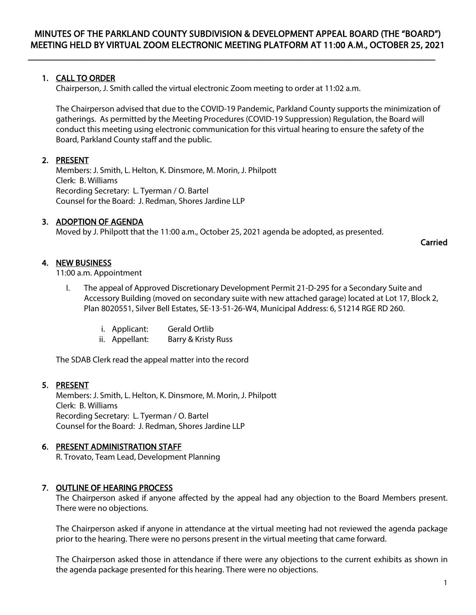$\overline{\phantom{a}}$  , and the contribution of the contribution of the contribution of the contribution of the contribution of the contribution of the contribution of the contribution of the contribution of the contribution of the

# 1. CALL TO ORDER

Chairperson, J. Smith called the virtual electronic Zoom meeting to order at 11:02 a.m.

The Chairperson advised that due to the COVID-19 Pandemic, Parkland County supports the minimization of gatherings. As permitted by the Meeting Procedures (COVID-19 Suppression) Regulation, the Board will conduct this meeting using electronic communication for this virtual hearing to ensure the safety of the Board, Parkland County staff and the public.

# 2. PRESENT

Members: J. Smith, L. Helton, K. Dinsmore, M. Morin, J. Philpott Clerk: B. Williams Recording Secretary: L. Tyerman / O. Bartel Counsel for the Board: J. Redman, Shores Jardine LLP

# 3. ADOPTION OF AGENDA

Moved by J. Philpott that the 11:00 a.m., October 25, 2021 agenda be adopted, as presented.

Carried

### 4. NEW BUSINESS

11:00 a.m. Appointment

- I. The appeal of Approved Discretionary Development Permit 21-D-295 for a Secondary Suite and Accessory Building (moved on secondary suite with new attached garage) located at Lot 17, Block 2, Plan 8020551, Silver Bell Estates, SE-13-51-26-W4, Municipal Address: 6, 51214 RGE RD 260.
	- i. Applicant: Gerald Ortlib
	- ii. Appellant: Barry & Kristy Russ

The SDAB Clerk read the appeal matter into the record

# 5. PRESENT

Members: J. Smith, L. Helton, K. Dinsmore, M. Morin, J. Philpott Clerk: B. Williams Recording Secretary: L. Tyerman / O. Bartel Counsel for the Board: J. Redman, Shores Jardine LLP

# 6. PRESENT ADMINISTRATION STAFF

R. Trovato, Team Lead, Development Planning

# 7. OUTLINE OF HEARING PROCESS

The Chairperson asked if anyone affected by the appeal had any objection to the Board Members present. There were no objections.

The Chairperson asked if anyone in attendance at the virtual meeting had not reviewed the agenda package prior to the hearing. There were no persons present in the virtual meeting that came forward.

The Chairperson asked those in attendance if there were any objections to the current exhibits as shown in the agenda package presented for this hearing. There were no objections.